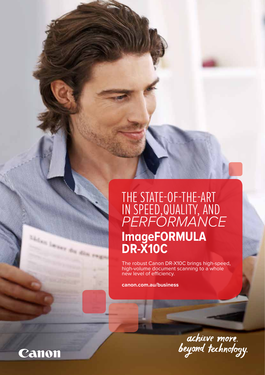### THE STATE-OF-THE-ART in Speed,Quality, and *Performance* **ImageFORMULA DR-X10C**

The robust Canon DR-X10C brings high-speed, high-volume document scanning to a whole new level of efficiency.

**canon.com.au/business**

achieve more.<br>beyond technology.

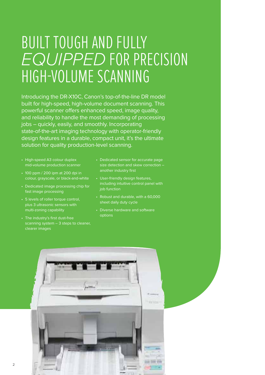### Built tough and fully *equipped* for precision high-volume scanning

Introducing the DR-X10C, Canon's top-of-the-line DR model built for high-speed, high-volume document scanning. This powerful scanner offers enhanced speed, image quality, and reliability to handle the most demanding of processing jobs – quickly, easily, and smoothly. Incorporating state-of-the-art imaging technology with operator-friendly design features in a durable, compact unit, it's the ultimate solution for quality production-level scanning.

- High-speed A3 colour duplex mid-volume production scanner
- 100 ppm / 200 ipm at 200 dpi in colour, grayscale, or black-and-white
- • Dedicated image processing chip for fast image processing
- 5 levels of roller torque control, plus 3 ultrasonic sensors with multi-zoning capability
- The industry's first dust-free scanning system – 3 steps to cleaner, clearer images
- Dedicated sensor for accurate page size detection and skew correction – another industry first
- User-friendly design features, including intuitive control panel with job function
- Robust and durable, with a 60,000 sheet daily duty cycle
- Diverse hardware and software options

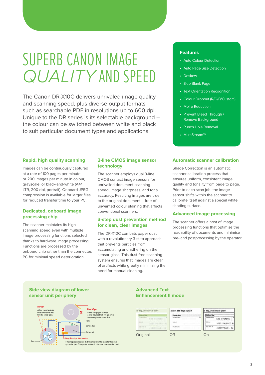# SUPERB CANON IMAGE *Quality* and Speed

The Canon DR-X10C delivers unrivaled image quality and scanning speed, plus diverse output formats such as searchable PDF in resolutions up to 600 dpi. Unique to the DR series is its selectable background – the colour can be switched between white and black to suit particular document types and applications.

#### **Rapid, high quality scanning**

Images can be continuously captured at a rate of 100 pages per minute or 200 images per minute in colour, grayscale, or black-and-white (A4/ LTR, 200 dpi, portrait). Onboard JPEG compression is available for larger files for reduced transfer time to your PC.

#### **Dedicated, onboard image processing chip**

The scanner maintains its high scanning speed even with multiple image processing functions selected thanks to hardware image processing. Functions are processed by the onboard chip rather than the connected PC for minimal speed deterioration.

#### **3-line CMOS image sensor technology**

The scanner employs dual 3-line CMOS contact image sensors for unrivalled document scanning speed, image sharpness, and tonal accuracy. Resulting images are true to the original document – free of unwanted colour staining that affects conventional scanners.

#### **3-step dust prevention method for clean, clear images**

The DR-X10C combats paper dust with a revolutionary 3-step approach that prevents particles from accumulating and adhering on the sensor glass. This dust-free scanning system ensures that images are clear of artifacts while greatly minimizing the need for manual cleaning.

#### **Features**

- Auto Colour Detection
- Auto Page Size Detection
- Deskew
- Skip Blank Page
- Text Orientation Recognition
- Colour Dropout (R/G/B/Custom)
- Moiré Reduction
- • Prevent Bleed Through / Remove Background
- Punch Hole Removal
- MultiStream™

#### **Automatic scanner calibration**

Shade Correction is an automatic scanner calibration process that ensures uniform, consistent image quality and tonality from page to page. Prior to each scan job, the image sensor shifts within the scanner to calibrate itself against a special white shading surface.

#### **Advanced image processing**

The scanner offers a host of image processing functions that optimise the readability of documents and minimise pre- and postprocessing by the operator.



#### **Advanced Text Enhancement II mode**

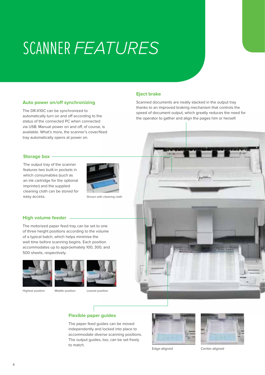# Scanner *Features*

#### **Auto power on/off synchronizing**

The DR-X10C can be synchronized to automatically turn on and off according to the status of the connected PC when connected via USB. Manual power on and off, of course, is available. What's more, the scanner's cover/feed tray automatically opens at power on.

#### **Eject brake**

Scanned documents are neatly stacked in the output tray thanks to an improved braking mechanism that controls the speed of document output, which greatly reduces the need for the operator to gather and align the pages him or herself.

#### **Storage box**

The output tray of the scanner features two built-in pockets in which consumables (such as an ink cartridge for the optional imprinter) and the supplied cleaning cloth can be stored for easy access. The state of the Shown with cleaning cloth



#### **High volume feeder**

The motorized paper feed tray can be set to one of three height positions according to the volume of a typical batch, which helps minimise the wait time before scanning begins. Each position accommodates up to approximately 100, 300, and 500 sheets, respectively.





Highest position Middle position Lowest position



#### **Flexible paper guides**

The paper feed guides can be moved independently and locked into place to accommodate diverse scanning positions. The output guides, too, can be set freely to match.





Edge-aligned Center-aligned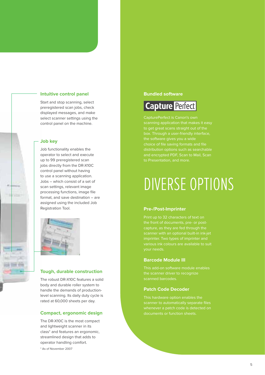#### **Intuitive control panel**

Start and stop scanning, select preregistered scan jobs, check displayed messages, and make select scanner settings using the control panel on the machine.

#### **Job key**

Job functionality enables the operator to select and execute up to 99 preregistered scan jobs directly from the DR-X10C control panel without having to use a scanning application. Jobs – which consist of a set of scan settings, relevant image processing functions, image file format, and save destination – are assigned using the included Job Registration Tool.



#### **Tough, durable construction**

The robust DR-X10C features a solid body and durable roller system to handle the demands of productionlevel scanning. Its daily duty cycle is rated at 60,000 sheets per day.

#### **Compact, ergonomic design**

The DR-X10C is the most compact and lightweight scanner in its class\* and features an ergonomic, streamlined design that adds to operator handling comfort.

\* As of November 2007

#### **Bundled software**



CapturePerfect is Canon's own scanning application that makes it easy to get great scans straight out of the box. Through a user-friendly interface, the software gives you a wide choice of file saving formats and file distribution options such as searchable and encrypted PDF, Scan to Mail, Scan to Presentation, and more.

### Diverse Options

#### **Pre-/Post-Imprinter**

Print up to 32 characters of text on the front of documents, pre- or postimprinter. Two types of imprinter and various ink colours are available to suit

#### **Barcode Module III**

This add-on software module enables the scanner driver to recognize scanned barcodes.

#### **Patch Code Decoder**

This hardware option enables the documents or function sheets.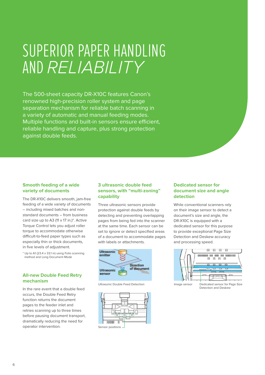# Superior Paper Handling and *Reliability*

The 500-sheet capacity DR-X10C features Canon's renowned high-precision roller system and page separation mechanism for reliable batch scanning in a variety of automatic and manual feeding modes. Multiple functions and built-in sensors ensure efficient, reliable handling and capture, plus strong protection against double feeds.

#### **Smooth feeding of a wide variety of documents**

The DR-X10C delivers smooth, jam-free feeding of a wide variety of documents – including mixed batches and nonstandard documents – from business card size up to A3 (11  $\times$  17 in.)\*. Active Torque Control lets you adjust roller torque to accommodate otherwise difficult-to-feed paper types such as especially thin or thick documents, in five levels of adjustment.

\* Up to A1 (23.4 x 33.1 in) using Folio scanning method and Long Document Mode

#### **All-new Double Feed Retry mechanism**

In the rare event that a double feed occurs, the Double Feed Retry function returns the document pages to the feeder inlet and retries scanning up to three times before pausing document transport, dramatically reducing the need for operator intervention.

#### **3 ultrasonic double feed sensors, with "multi-zoning" capability**

Three ultrasonic sensors provide protection against double feeds by detecting and preventing overlapping pages from being fed into the scanner at the same time. Each sensor can be set to ignore or detect specified areas of a document to accommodate pages with labels or attachments.





#### **Dedicated sensor for document size and angle detection**

While conventional scanners rely on their image sensor to detect a document's size and angle, the DR-X10C is equipped with a dedicated sensor for this purpose to provide exceptional Page Size Detection and Deskew accuracy and processing speed.

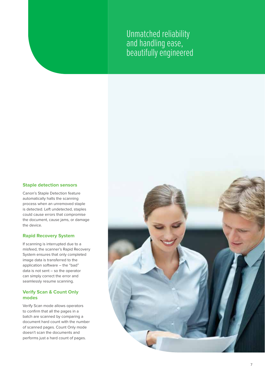### Unmatched reliability and handling ease, beautifully engineered

#### **Staple detection sensors**

Canon's Staple Detection feature automatically halts the scanning process when an unremoved staple is detected. Left undetected, staples could cause errors that compromise the document, cause jams, or damage the device.

#### **Rapid Recovery System**

If scanning is interrupted due to a misfeed, the scanner's Rapid Recovery System ensures that only completed image data is transferred to the application software – the "bad" data is not sent – so the operator can simply correct the error and seamlessly resume scanning.

#### **Verify Scan & Count Only modes**

Verify Scan mode allows operators to confirm that all the pages in a batch are scanned by comparing a document hard count with the number of scanned pages. Count Only mode doesn't scan the documents and performs just a hard count of pages.